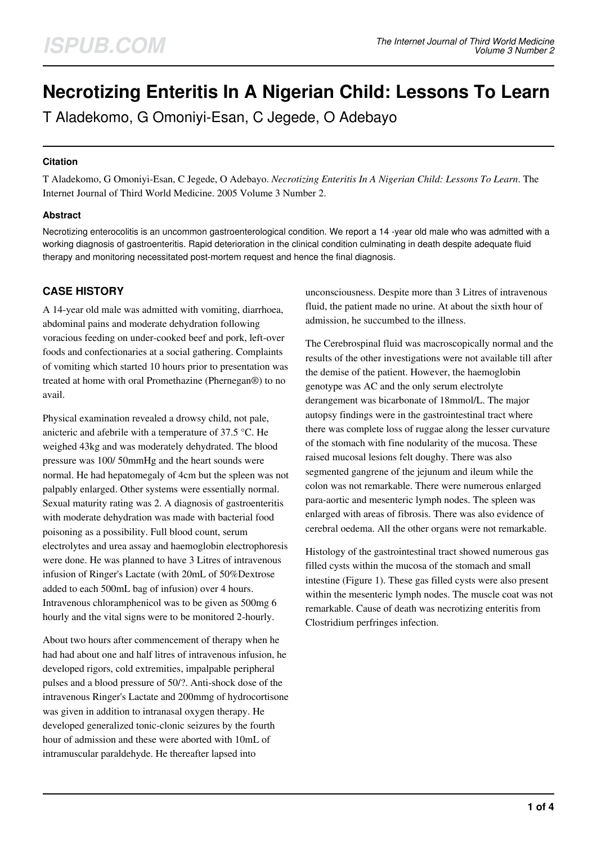# **Necrotizing Enteritis In A Nigerian Child: Lessons To Learn**

T Aladekomo, G Omoniyi-Esan, C Jegede, O Adebayo

## **Citation**

T Aladekomo, G Omoniyi-Esan, C Jegede, O Adebayo. *Necrotizing Enteritis In A Nigerian Child: Lessons To Learn*. The Internet Journal of Third World Medicine. 2005 Volume 3 Number 2.

## **Abstract**

Necrotizing enterocolitis is an uncommon gastroenterological condition. We report a 14 -year old male who was admitted with a working diagnosis of gastroenteritis. Rapid deterioration in the clinical condition culminating in death despite adequate fluid therapy and monitoring necessitated post-mortem request and hence the final diagnosis.

# **CASE HISTORY**

A 14-year old male was admitted with vomiting, diarrhoea, abdominal pains and moderate dehydration following voracious feeding on under-cooked beef and pork, left-over foods and confectionaries at a social gathering. Complaints of vomiting which started 10 hours prior to presentation was treated at home with oral Promethazine (Phernegan®) to no avail.

Physical examination revealed a drowsy child, not pale, anicteric and afebrile with a temperature of 37.5 °C. He weighed 43kg and was moderately dehydrated. The blood pressure was 100/ 50mmHg and the heart sounds were normal. He had hepatomegaly of 4cm but the spleen was not palpably enlarged. Other systems were essentially normal. Sexual maturity rating was 2. A diagnosis of gastroenteritis with moderate dehydration was made with bacterial food poisoning as a possibility. Full blood count, serum electrolytes and urea assay and haemoglobin electrophoresis were done. He was planned to have 3 Litres of intravenous infusion of Ringer's Lactate (with 20mL of 50%Dextrose added to each 500mL bag of infusion) over 4 hours. Intravenous chloramphenicol was to be given as 500mg 6 hourly and the vital signs were to be monitored 2-hourly.

About two hours after commencement of therapy when he had had about one and half litres of intravenous infusion, he developed rigors, cold extremities, impalpable peripheral pulses and a blood pressure of 50/?. Anti-shock dose of the intravenous Ringer's Lactate and 200mmg of hydrocortisone was given in addition to intranasal oxygen therapy. He developed generalized tonic-clonic seizures by the fourth hour of admission and these were aborted with 10mL of intramuscular paraldehyde. He thereafter lapsed into

unconsciousness. Despite more than 3 Litres of intravenous fluid, the patient made no urine. At about the sixth hour of admission, he succumbed to the illness.

The Cerebrospinal fluid was macroscopically normal and the results of the other investigations were not available till after the demise of the patient. However, the haemoglobin genotype was AC and the only serum electrolyte derangement was bicarbonate of 18mmol/L. The major autopsy findings were in the gastrointestinal tract where there was complete loss of ruggae along the lesser curvature of the stomach with fine nodularity of the mucosa. These raised mucosal lesions felt doughy. There was also segmented gangrene of the jejunum and ileum while the colon was not remarkable. There were numerous enlarged para-aortic and mesenteric lymph nodes. The spleen was enlarged with areas of fibrosis. There was also evidence of cerebral oedema. All the other organs were not remarkable.

Histology of the gastrointestinal tract showed numerous gas filled cysts within the mucosa of the stomach and small intestine (Figure 1). These gas filled cysts were also present within the mesenteric lymph nodes. The muscle coat was not remarkable. Cause of death was necrotizing enteritis from Clostridium perfringes infection.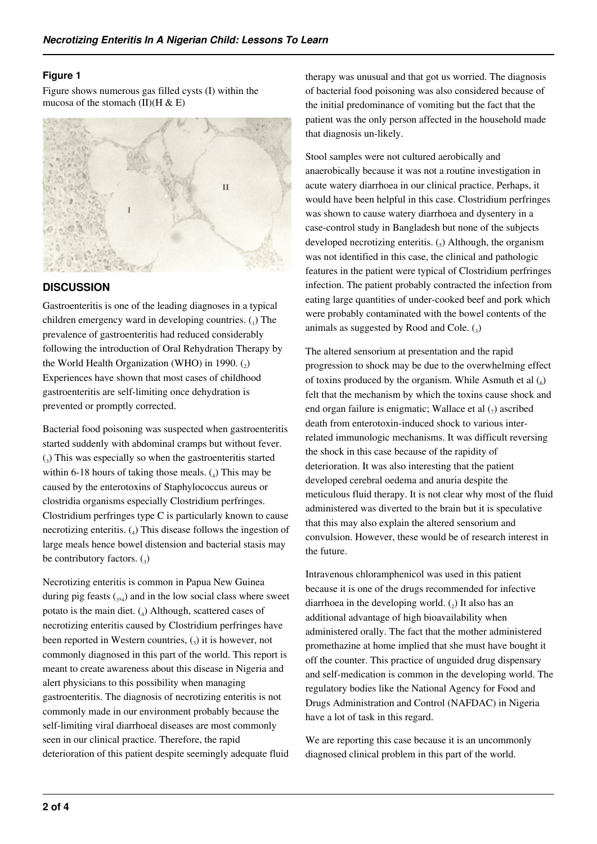## **Figure 1**

Figure shows numerous gas filled cysts (I) within the mucosa of the stomach (II)( $H & E$ )



## **DISCUSSION**

Gastroenteritis is one of the leading diagnoses in a typical children emergency ward in developing countries.  $\binom{1}{1}$  The prevalence of gastroenteritis had reduced considerably following the introduction of Oral Rehydration Therapy by the World Health Organization (WHO) in 1990. $(q)$ Experiences have shown that most cases of childhood gastroenteritis are self-limiting once dehydration is prevented or promptly corrected.

Bacterial food poisoning was suspected when gastroenteritis started suddenly with abdominal cramps but without fever. (3 ) This was especially so when the gastroenteritis started within  $6-18$  hours of taking those meals.  $(4)$  This may be caused by the enterotoxins of Staphylococcus aureus or clostridia organisms especially Clostridium perfringes. Clostridium perfringes type C is particularly known to cause necrotizing enteritis. (<sup>4</sup> ) This disease follows the ingestion of large meals hence bowel distension and bacterial stasis may be contributory factors.  $\binom{3}{3}$ 

Necrotizing enteritis is common in Papua New Guinea during pig feasts  $_{3,4}$ ) and in the low social class where sweet potato is the main diet. (4) Although, scattered cases of necrotizing enteritis caused by Clostridium perfringes have been reported in Western countries,  $\left( \frac{1}{2} \right)$  it is however, not commonly diagnosed in this part of the world. This report is meant to create awareness about this disease in Nigeria and alert physicians to this possibility when managing gastroenteritis. The diagnosis of necrotizing enteritis is not commonly made in our environment probably because the self-limiting viral diarrhoeal diseases are most commonly seen in our clinical practice. Therefore, the rapid deterioration of this patient despite seemingly adequate fluid therapy was unusual and that got us worried. The diagnosis of bacterial food poisoning was also considered because of the initial predominance of vomiting but the fact that the patient was the only person affected in the household made that diagnosis un-likely.

Stool samples were not cultured aerobically and anaerobically because it was not a routine investigation in acute watery diarrhoea in our clinical practice. Perhaps, it would have been helpful in this case. Clostridium perfringes was shown to cause watery diarrhoea and dysentery in a case-control study in Bangladesh but none of the subjects developed necrotizing enteritis.  $\binom{1}{5}$  Although, the organism was not identified in this case, the clinical and pathologic features in the patient were typical of Clostridium perfringes infection. The patient probably contracted the infection from eating large quantities of under-cooked beef and pork which were probably contaminated with the bowel contents of the animals as suggested by Rood and Cole.  $\binom{3}{3}$ 

The altered sensorium at presentation and the rapid progression to shock may be due to the overwhelming effect of toxins produced by the organism. While Asmuth et al  $\binom{6}{6}$ felt that the mechanism by which the toxins cause shock and end organ failure is enigmatic; Wallace et al  $(7)$  ascribed death from enterotoxin-induced shock to various interrelated immunologic mechanisms. It was difficult reversing the shock in this case because of the rapidity of deterioration. It was also interesting that the patient developed cerebral oedema and anuria despite the meticulous fluid therapy. It is not clear why most of the fluid administered was diverted to the brain but it is speculative that this may also explain the altered sensorium and convulsion. However, these would be of research interest in the future.

Intravenous chloramphenicol was used in this patient because it is one of the drugs recommended for infective diarrhoea in the developing world.  $(_{2})$  It also has an additional advantage of high bioavailability when administered orally. The fact that the mother administered promethazine at home implied that she must have bought it off the counter. This practice of unguided drug dispensary and self-medication is common in the developing world. The regulatory bodies like the National Agency for Food and Drugs Administration and Control (NAFDAC) in Nigeria have a lot of task in this regard.

We are reporting this case because it is an uncommonly diagnosed clinical problem in this part of the world.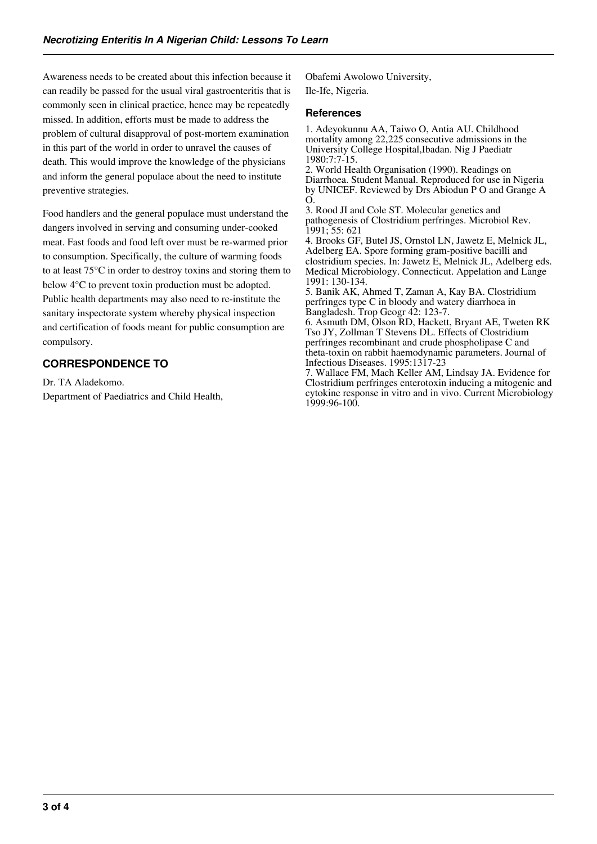Awareness needs to be created about this infection because it can readily be passed for the usual viral gastroenteritis that is commonly seen in clinical practice, hence may be repeatedly missed. In addition, efforts must be made to address the problem of cultural disapproval of post-mortem examination in this part of the world in order to unravel the causes of death. This would improve the knowledge of the physicians and inform the general populace about the need to institute preventive strategies.

Food handlers and the general populace must understand the dangers involved in serving and consuming under-cooked meat. Fast foods and food left over must be re-warmed prior to consumption. Specifically, the culture of warming foods to at least 75°C in order to destroy toxins and storing them to below 4°C to prevent toxin production must be adopted. Public health departments may also need to re-institute the sanitary inspectorate system whereby physical inspection and certification of foods meant for public consumption are compulsory.

# **CORRESPONDENCE TO**

Dr. TA Aladekomo. Department of Paediatrics and Child Health, Obafemi Awolowo University, Ile-Ife, Nigeria.

#### **References**

1. Adeyokunnu AA, Taiwo O, Antia AU. Childhood mortality among 22,225 consecutive admissions in the University College Hospital,Ibadan. Nig J Paediatr 1980:7:7-15.

2. World Health Organisation (1990). Readings on Diarrhoea. Student Manual. Reproduced for use in Nigeria by UNICEF. Reviewed by Drs Abiodun P O and Grange A O.

3. Rood JI and Cole ST. Molecular genetics and pathogenesis of Clostridium perfringes. Microbiol Rev. 1991; 55: 621

4. Brooks GF, Butel JS, Ornstol LN, Jawetz E, Melnick JL, Adelberg EA. Spore forming gram-positive bacilli and clostridium species. In: Jawetz E, Melnick JL, Adelberg eds. Medical Microbiology. Connecticut. Appelation and Lange 1991: 130-134.

5. Banik AK, Ahmed T, Zaman A, Kay BA. Clostridium perfringes type C in bloody and watery diarrhoea in Bangladesh. Trop Geogr 42: 123-7.

6. Asmuth DM, Olson RD, Hackett, Bryant AE, Tweten RK Tso JY, Zollman T Stevens DL. Effects of Clostridium perfringes recombinant and crude phospholipase C and theta-toxin on rabbit haemodynamic parameters. Journal of Infectious Diseases. 1995:1317-23

7. Wallace FM, Mach Keller AM, Lindsay JA. Evidence for Clostridium perfringes enterotoxin inducing a mitogenic and cytokine response in vitro and in vivo. Current Microbiology 1999:96-100.